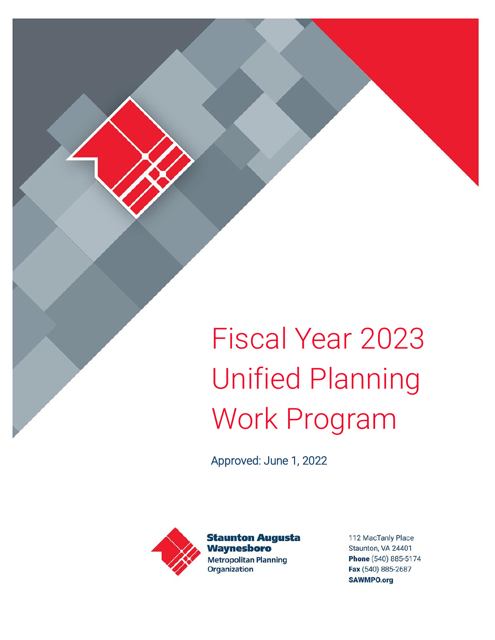# Fiscal Year 2023 Unified Planning Work Program

Approved: June 1, 2022



**Staunton Augusta** Waynesboro **Metropolitan Planning** Organization

112 MacTanly Place Staunton, VA 24401 Phone (540) 885-5174 Fax (540) 885-2687 **SAWMPO.org**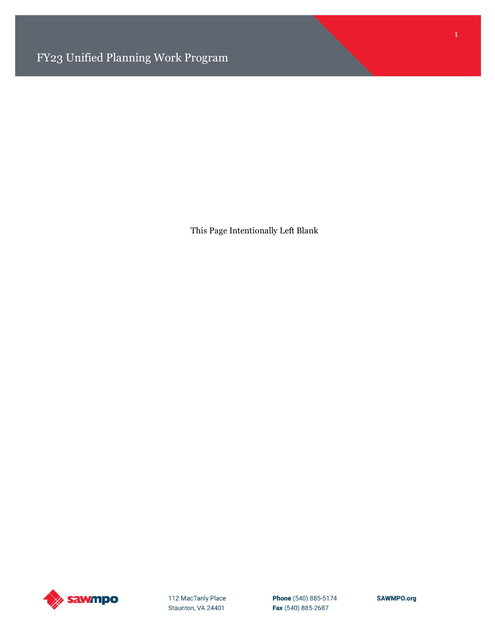This Page Intentionally Left Blank



112 MacTanly Place Staunton, VA 24401

Phone (540) 885-5174 Fax (540) 885-2687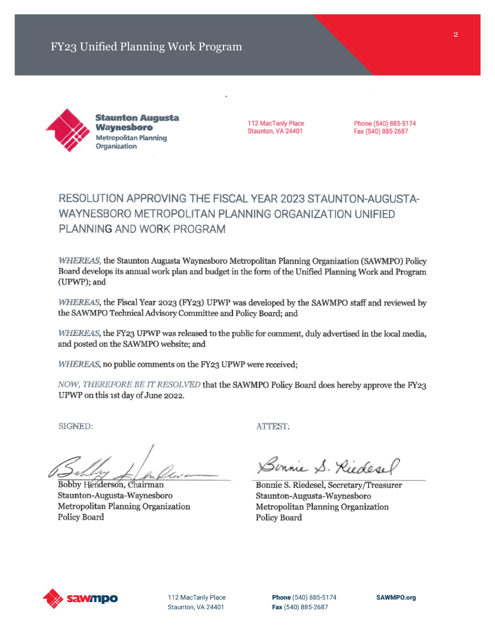

112 MacTanly Place Staunton, VA 24401

Phone (540) 885-5174 Fax (540) 885-2687

# RESOLUTION APPROVING THE FISCAL YEAR 2023 STAUNTON-AUGUSTA-WAYNESBORO METROPOLITAN PLANNING ORGANIZATION UNIFIED PLANNING AND WORK PROGRAM

WHEREAS, the Staunton Augusta Waynesboro Metropolitan Planning Organization (SAWMPO) Policy Board develops its annual work plan and budget in the form of the Unified Planning Work and Program (UPWP); and

WHEREAS, the Fiscal Year 2023 (FY23) UPWP was developed by the SAWMPO staff and reviewed by the SAWMPO Technical Advisory Committee and Policy Board; and

WHEREAS, the FY23 UPWP was released to the public for comment, duly advertised in the local media, and posted on the SAWMPO website; and

WHEREAS, no public comments on the FY23 UPWP were received;

NOW, THEREFORE BE IT RESOLVED that the SAWMPO Policy Board does hereby approve the FY23 UPWP on this 1st day of June 2022.

SIGNED:

Bobby Henderson, Chairman Staunton-Augusta-Waynesboro Metropolitan Planning Organization Policy Board

**ATTEST:** 

Sonnie S. Riedesel

Bonnie S. Riedesel, Secretary/Treasurer Staunton-Augusta-Waynesboro Metropolitan Planning Organization Policy Board



112 MacTanly Place Staunton, VA 24401

Phone (540) 885-5174 Fax (540) 885-2687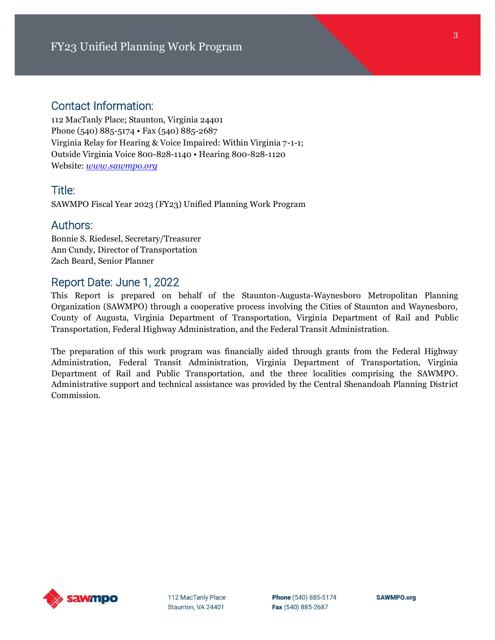## Contact Information:

112 MacTanly Place; Staunton, Virginia 24401 Phone (540) 885-5174 • Fax (540) 885-2687 Virginia Relay for Hearing & Voice Impaired: Within Virginia 7-1-1; Outside Virginia Voice 800-828-1140 • Hearing 800-828-1120 Website: *[www.sawmpo.org](http://www.sawmpo.org/)*

## Title:

SAWMPO Fiscal Year 2023 (FY23) Unified Planning Work Program

## Authors:

Bonnie S. Riedesel, Secretary/Treasurer Ann Cundy, Director of Transportation Zach Beard, Senior Planner

## Report Date: June 1, 2022

This Report is prepared on behalf of the Staunton-Augusta-Waynesboro Metropolitan Planning Organization (SAWMPO) through a cooperative process involving the Cities of Staunton and Waynesboro, County of Augusta, Virginia Department of Transportation, Virginia Department of Rail and Public Transportation, Federal Highway Administration, and the Federal Transit Administration.

The preparation of this work program was financially aided through grants from the Federal Highway Administration, Federal Transit Administration, Virginia Department of Transportation, Virginia Department of Rail and Public Transportation, and the three localities comprising the SAWMPO. Administrative support and technical assistance was provided by the Central Shenandoah Planning District Commission.

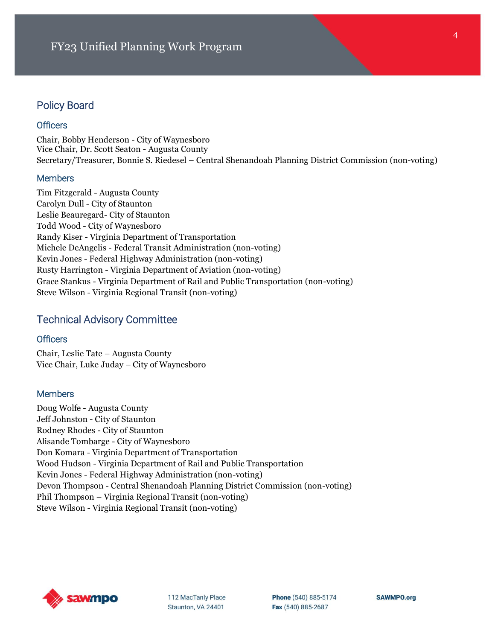# FY23 Unified Planning Work Program

## Policy Board

#### **Officers**

Chair, Bobby Henderson - City of Waynesboro Vice Chair, Dr. Scott Seaton - Augusta County Secretary/Treasurer, Bonnie S. Riedesel – Central Shenandoah Planning District Commission (non-voting)

#### **Members**

Tim Fitzgerald - Augusta County Carolyn Dull - City of Staunton Leslie Beauregard- City of Staunton Todd Wood - City of Waynesboro Randy Kiser - Virginia Department of Transportation Michele DeAngelis - Federal Transit Administration (non-voting) Kevin Jones - Federal Highway Administration (non-voting) Rusty Harrington - Virginia Department of Aviation (non-voting) Grace Stankus - Virginia Department of Rail and Public Transportation (non-voting) Steve Wilson - Virginia Regional Transit (non-voting)

#### Technical Advisory Committee

#### **Officers**

Chair, Leslie Tate – Augusta County Vice Chair, Luke Juday – City of Waynesboro

#### **Members**

Doug Wolfe - Augusta County Jeff Johnston - City of Staunton Rodney Rhodes - City of Staunton Alisande Tombarge - City of Waynesboro Don Komara - Virginia Department of Transportation Wood Hudson - Virginia Department of Rail and Public Transportation Kevin Jones - Federal Highway Administration (non-voting) Devon Thompson - Central Shenandoah Planning District Commission (non-voting) Phil Thompson – Virginia Regional Transit (non-voting) Steve Wilson - Virginia Regional Transit (non-voting)

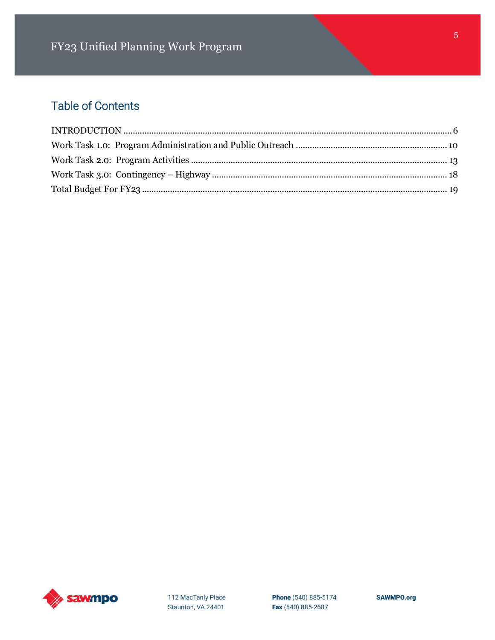# **Table of Contents**



112 MacTanly Place Staunton, VA 24401

Phone (540) 885-5174 Fax (540) 885-2687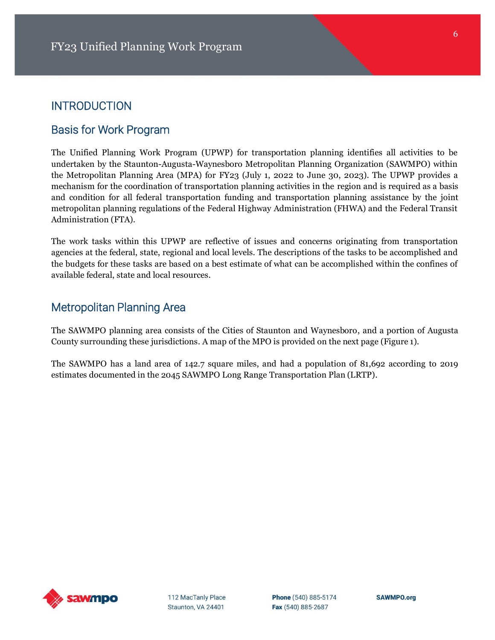## <span id="page-6-0"></span>INTRODUCTION

## Basis for Work Program

The Unified Planning Work Program (UPWP) for transportation planning identifies all activities to be undertaken by the Staunton-Augusta-Waynesboro Metropolitan Planning Organization (SAWMPO) within the Metropolitan Planning Area (MPA) for FY23 (July 1, 2022 to June 30, 2023). The UPWP provides a mechanism for the coordination of transportation planning activities in the region and is required as a basis and condition for all federal transportation funding and transportation planning assistance by the joint metropolitan planning regulations of the Federal Highway Administration (FHWA) and the Federal Transit Administration (FTA).

The work tasks within this UPWP are reflective of issues and concerns originating from transportation agencies at the federal, state, regional and local levels. The descriptions of the tasks to be accomplished and the budgets for these tasks are based on a best estimate of what can be accomplished within the confines of available federal, state and local resources.

# Metropolitan Planning Area

The SAWMPO planning area consists of the Cities of Staunton and Waynesboro, and a portion of Augusta County surrounding these jurisdictions. A map of the MPO is provided on the next page (Figure 1).

The SAWMPO has a land area of 142.7 square miles, and had a population of 81,692 according to 2019 estimates documented in the 2045 SAWMPO Long Range Transportation Plan (LRTP).



Phone (540) 885-5174 Fax (540) 885-2687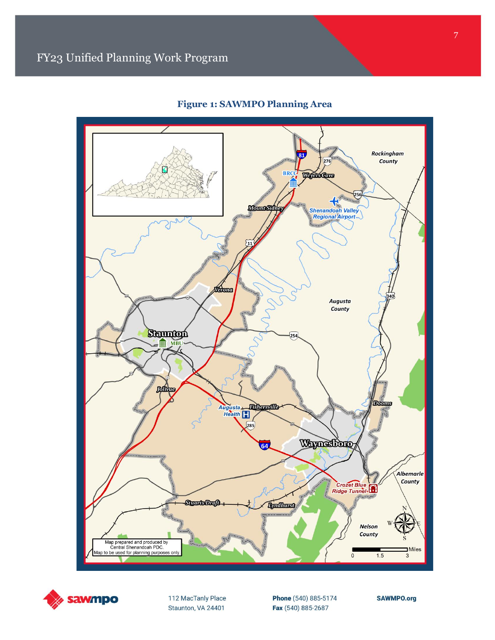

#### **Figure 1: SAWMPO Planning Area**



112 MacTanly Place Staunton, VA 24401

Phone (540) 885-5174 Fax (540) 885-2687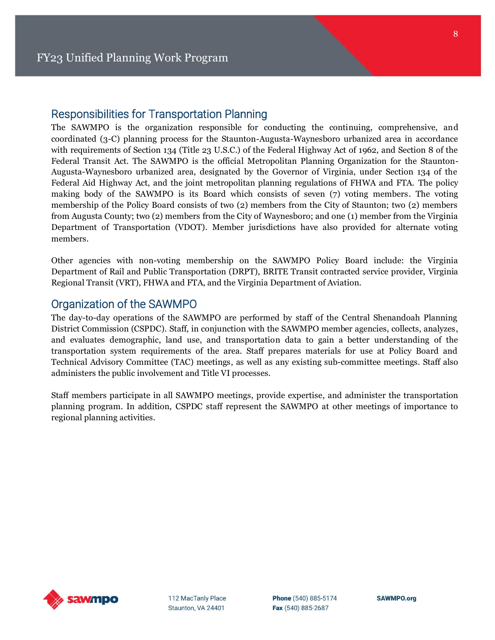### Responsibilities for Transportation Planning

The SAWMPO is the organization responsible for conducting the continuing, comprehensive, and coordinated (3-C) planning process for the Staunton-Augusta-Waynesboro urbanized area in accordance with requirements of Section 134 (Title 23 U.S.C.) of the Federal Highway Act of 1962, and Section 8 of the Federal Transit Act. The SAWMPO is the official Metropolitan Planning Organization for the Staunton-Augusta-Waynesboro urbanized area, designated by the Governor of Virginia, under Section 134 of the Federal Aid Highway Act, and the joint metropolitan planning regulations of FHWA and FTA. The policy making body of the SAWMPO is its Board which consists of seven (7) voting members. The voting membership of the Policy Board consists of two (2) members from the City of Staunton; two (2) members from Augusta County; two (2) members from the City of Waynesboro; and one (1) member from the Virginia Department of Transportation (VDOT). Member jurisdictions have also provided for alternate voting members.

Other agencies with non-voting membership on the SAWMPO Policy Board include: the Virginia Department of Rail and Public Transportation (DRPT), BRITE Transit contracted service provider, Virginia Regional Transit (VRT), FHWA and FTA, and the Virginia Department of Aviation.

## Organization of the SAWMPO

The day-to-day operations of the SAWMPO are performed by staff of the Central Shenandoah Planning District Commission (CSPDC). Staff, in conjunction with the SAWMPO member agencies, collects, analyzes, and evaluates demographic, land use, and transportation data to gain a better understanding of the transportation system requirements of the area. Staff prepares materials for use at Policy Board and Technical Advisory Committee (TAC) meetings, as well as any existing sub-committee meetings. Staff also administers the public involvement and Title VI processes.

Staff members participate in all SAWMPO meetings, provide expertise, and administer the transportation planning program. In addition, CSPDC staff represent the SAWMPO at other meetings of importance to regional planning activities.

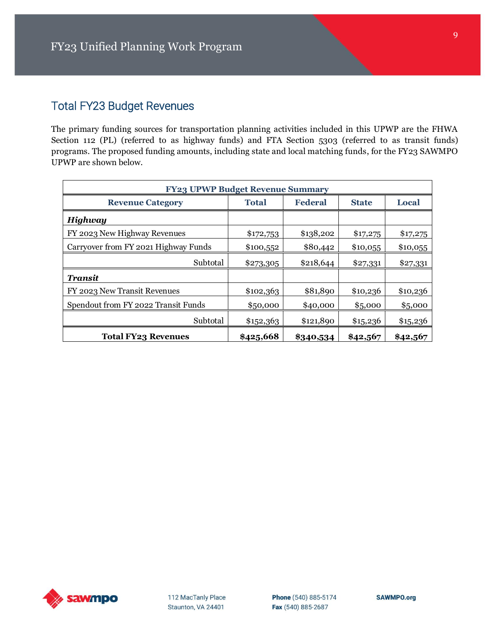# Total FY23 Budget Revenues

The primary funding sources for transportation planning activities included in this UPWP are the FHWA Section 112 (PL) (referred to as highway funds) and FTA Section 5303 (referred to as transit funds) programs. The proposed funding amounts, including state and local matching funds, for the FY23 SAWMPO UPWP are shown below.

| <b>FY23 UPWP Budget Revenue Summary</b> |              |                |              |          |  |  |  |  |  |
|-----------------------------------------|--------------|----------------|--------------|----------|--|--|--|--|--|
| <b>Revenue Category</b>                 | <b>Total</b> | <b>Federal</b> | <b>State</b> | Local    |  |  |  |  |  |
| <b>Highway</b>                          |              |                |              |          |  |  |  |  |  |
| FY 2023 New Highway Revenues            | \$172,753    | \$138,202      | \$17,275     | \$17,275 |  |  |  |  |  |
| Carryover from FY 2021 Highway Funds    | \$100,552    | \$80,442       | \$10,055     | \$10,055 |  |  |  |  |  |
| Subtotal                                | \$273,305    | \$218,644      | \$27,331     | \$27,331 |  |  |  |  |  |
| <b>Transit</b>                          |              |                |              |          |  |  |  |  |  |
| FY 2023 New Transit Revenues            | \$102,363    | \$81,890       | \$10,236     | \$10,236 |  |  |  |  |  |
| Spendout from FY 2022 Transit Funds     | \$50,000     | \$40,000       | \$5,000      | \$5,000  |  |  |  |  |  |
| Subtotal                                | \$152,363    | \$121,890      | \$15,236     | \$15,236 |  |  |  |  |  |
| <b>Total FY23 Revenues</b>              | \$425,668    | \$340,534      | \$42,567     | \$42,567 |  |  |  |  |  |

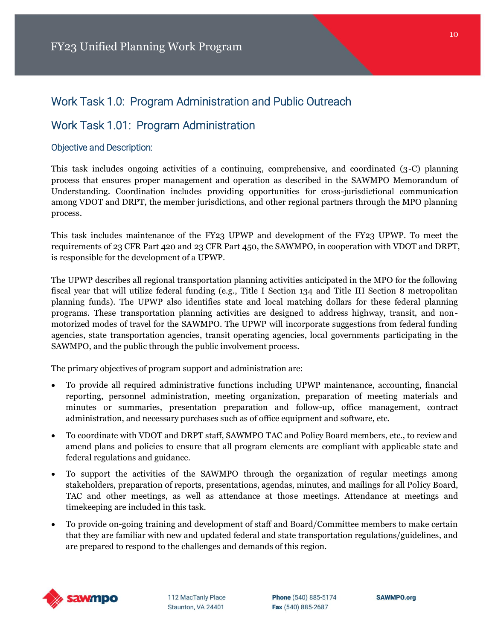# <span id="page-10-0"></span>Work Task 1.0: Program Administration and Public Outreach

# Work Task 1.01: Program Administration

#### Objective and Description:

This task includes ongoing activities of a continuing, comprehensive, and coordinated (3-C) planning process that ensures proper management and operation as described in the SAWMPO Memorandum of Understanding. Coordination includes providing opportunities for cross-jurisdictional communication among VDOT and DRPT, the member jurisdictions, and other regional partners through the MPO planning process.

This task includes maintenance of the FY23 UPWP and development of the FY23 UPWP. To meet the requirements of 23 CFR Part 420 and 23 CFR Part 450, the SAWMPO, in cooperation with VDOT and DRPT, is responsible for the development of a UPWP.

The UPWP describes all regional transportation planning activities anticipated in the MPO for the following fiscal year that will utilize federal funding (e.g., Title I Section 134 and Title III Section 8 metropolitan planning funds). The UPWP also identifies state and local matching dollars for these federal planning programs. These transportation planning activities are designed to address highway, transit, and nonmotorized modes of travel for the SAWMPO. The UPWP will incorporate suggestions from federal funding agencies, state transportation agencies, transit operating agencies, local governments participating in the SAWMPO, and the public through the public involvement process.

The primary objectives of program support and administration are:

- To provide all required administrative functions including UPWP maintenance, accounting, financial reporting, personnel administration, meeting organization, preparation of meeting materials and minutes or summaries, presentation preparation and follow-up, office management, contract administration, and necessary purchases such as of office equipment and software, etc.
- To coordinate with VDOT and DRPT staff, SAWMPO TAC and Policy Board members, etc., to review and amend plans and policies to ensure that all program elements are compliant with applicable state and federal regulations and guidance.
- To support the activities of the SAWMPO through the organization of regular meetings among stakeholders, preparation of reports, presentations, agendas, minutes, and mailings for all Policy Board, TAC and other meetings, as well as attendance at those meetings. Attendance at meetings and timekeeping are included in this task.
- To provide on-going training and development of staff and Board/Committee members to make certain that they are familiar with new and updated federal and state transportation regulations/guidelines, and are prepared to respond to the challenges and demands of this region.



112 MacTanly Place Staunton, VA 24401

Phone (540) 885-5174 Fax (540) 885-2687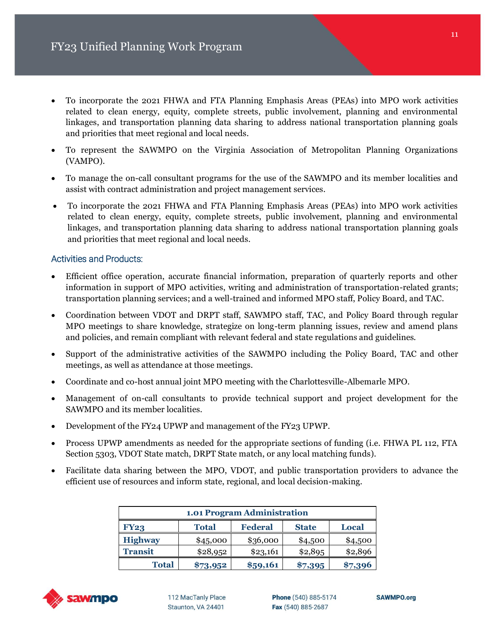- To incorporate the 2021 FHWA and FTA Planning Emphasis Areas (PEAs) into MPO work activities related to clean energy, equity, complete streets, public involvement, planning and environmental linkages, and transportation planning data sharing to address national transportation planning goals and priorities that meet regional and local needs.
- To represent the SAWMPO on the Virginia Association of Metropolitan Planning Organizations (VAMPO).
- To manage the on-call consultant programs for the use of the SAWMPO and its member localities and assist with contract administration and project management services.
- To incorporate the 2021 FHWA and FTA Planning Emphasis Areas (PEAs) into MPO work activities related to clean energy, equity, complete streets, public involvement, planning and environmental linkages, and transportation planning data sharing to address national transportation planning goals and priorities that meet regional and local needs.

#### Activities and Products:

- Efficient office operation, accurate financial information, preparation of quarterly reports and other information in support of MPO activities, writing and administration of transportation-related grants; transportation planning services; and a well-trained and informed MPO staff, Policy Board, and TAC.
- Coordination between VDOT and DRPT staff, SAWMPO staff, TAC, and Policy Board through regular MPO meetings to share knowledge, strategize on long-term planning issues, review and amend plans and policies, and remain compliant with relevant federal and state regulations and guidelines.
- Support of the administrative activities of the SAWMPO including the Policy Board, TAC and other meetings, as well as attendance at those meetings.
- Coordinate and co-host annual joint MPO meeting with the Charlottesville-Albemarle MPO.
- Management of on-call consultants to provide technical support and project development for the SAWMPO and its member localities.
- Development of the FY24 UPWP and management of the FY23 UPWP.
- Process UPWP amendments as needed for the appropriate sections of funding (i.e. FHWA PL 112, FTA Section 5303, VDOT State match, DRPT State match, or any local matching funds).
- Facilitate data sharing between the MPO, VDOT, and public transportation providers to advance the efficient use of resources and inform state, regional, and local decision-making.

| 1.01 Program Administration                                            |          |          |         |         |  |  |  |  |  |
|------------------------------------------------------------------------|----------|----------|---------|---------|--|--|--|--|--|
| <b>Federal</b><br><b>Total</b><br><b>FY23</b><br>Local<br><b>State</b> |          |          |         |         |  |  |  |  |  |
| <b>Highway</b>                                                         | \$45,000 | \$36,000 | \$4,500 | \$4,500 |  |  |  |  |  |
| <b>Transit</b>                                                         | \$28,952 | \$23,161 | \$2,895 | \$2,896 |  |  |  |  |  |
| <b>Total</b>                                                           | \$73,952 | \$59,161 | \$7,395 | \$7,396 |  |  |  |  |  |



112 MacTanly Place Staunton, VA 24401

Phone (540) 885-5174 Fax (540) 885-2687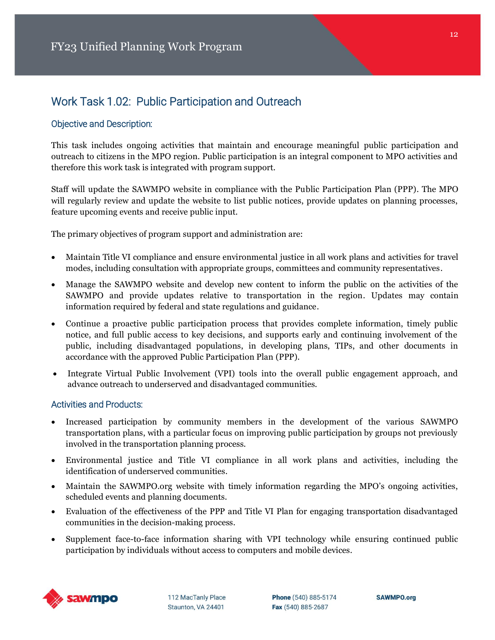# Work Task 1.02: Public Participation and Outreach

#### Objective and Description:

This task includes ongoing activities that maintain and encourage meaningful public participation and outreach to citizens in the MPO region. Public participation is an integral component to MPO activities and therefore this work task is integrated with program support.

Staff will update the SAWMPO website in compliance with the Public Participation Plan (PPP). The MPO will regularly review and update the website to list public notices, provide updates on planning processes, feature upcoming events and receive public input.

The primary objectives of program support and administration are:

- Maintain Title VI compliance and ensure environmental justice in all work plans and activities for travel modes, including consultation with appropriate groups, committees and community representatives.
- Manage the SAWMPO website and develop new content to inform the public on the activities of the SAWMPO and provide updates relative to transportation in the region. Updates may contain information required by federal and state regulations and guidance.
- Continue a proactive public participation process that provides complete information, timely public notice, and full public access to key decisions, and supports early and continuing involvement of the public, including disadvantaged populations, in developing plans, TIPs, and other documents in accordance with the approved Public Participation Plan (PPP).
- Integrate Virtual Public Involvement (VPI) tools into the overall public engagement approach, and advance outreach to underserved and disadvantaged communities.

#### Activities and Products:

- Increased participation by community members in the development of the various SAWMPO transportation plans, with a particular focus on improving public participation by groups not previously involved in the transportation planning process.
- Environmental justice and Title VI compliance in all work plans and activities, including the identification of underserved communities.
- Maintain the SAWMPO.org website with timely information regarding the MPO's ongoing activities, scheduled events and planning documents.
- Evaluation of the effectiveness of the PPP and Title VI Plan for engaging transportation disadvantaged communities in the decision-making process.
- Supplement face-to-face information sharing with VPI technology while ensuring continued public participation by individuals without access to computers and mobile devices.



112 MacTanly Place Staunton, VA 24401

Phone (540) 885-5174 Fax (540) 885-2687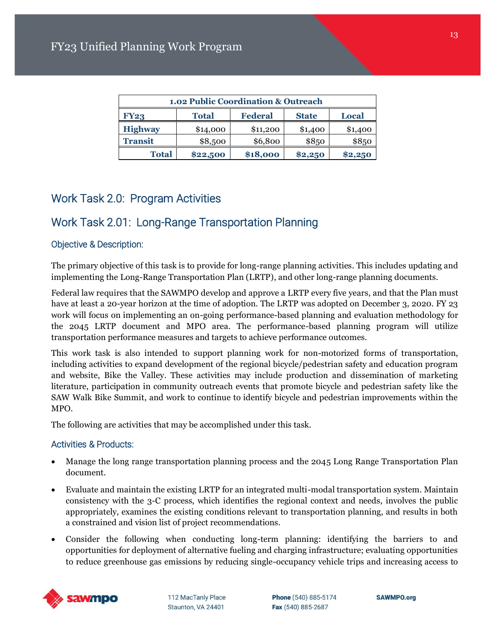| 1.02 Public Coordination & Outreach                                           |          |          |         |         |  |  |  |  |  |
|-------------------------------------------------------------------------------|----------|----------|---------|---------|--|--|--|--|--|
| <b>Federal</b><br><b>Total</b><br><b>Local</b><br><b>FY23</b><br><b>State</b> |          |          |         |         |  |  |  |  |  |
| <b>Highway</b>                                                                | \$14,000 |          | \$1,400 | \$1,400 |  |  |  |  |  |
| <b>Transit</b>                                                                | \$8,500  |          | \$850   | \$850   |  |  |  |  |  |
| <b>Total</b>                                                                  | \$22,500 | \$18,000 | \$2,250 | \$2,250 |  |  |  |  |  |

# <span id="page-13-0"></span>Work Task 2.0: Program Activities

# Work Task 2.01: Long-Range Transportation Planning

#### Objective & Description:

The primary objective of this task is to provide for long-range planning activities. This includes updating and implementing the Long-Range Transportation Plan (LRTP), and other long-range planning documents.

Federal law requires that the SAWMPO develop and approve a LRTP every five years, and that the Plan must have at least a 20-year horizon at the time of adoption. The LRTP was adopted on December 3, 2020. FY 23 work will focus on implementing an on-going performance-based planning and evaluation methodology for the 2045 LRTP document and MPO area. The performance-based planning program will utilize transportation performance measures and targets to achieve performance outcomes.

This work task is also intended to support planning work for non-motorized forms of transportation, including activities to expand development of the regional bicycle/pedestrian safety and education program and website, Bike the Valley. These activities may include production and dissemination of marketing literature, participation in community outreach events that promote bicycle and pedestrian safety like the SAW Walk Bike Summit, and work to continue to identify bicycle and pedestrian improvements within the MPO.

The following are activities that may be accomplished under this task.

#### Activities & Products:

- Manage the long range transportation planning process and the 2045 Long Range Transportation Plan document.
- Evaluate and maintain the existing LRTP for an integrated multi-modal transportation system. Maintain consistency with the 3-C process, which identifies the regional context and needs, involves the public appropriately, examines the existing conditions relevant to transportation planning, and results in both a constrained and vision list of project recommendations.
- Consider the following when conducting long-term planning: identifying the barriers to and opportunities for deployment of alternative fueling and charging infrastructure; evaluating opportunities to reduce greenhouse gas emissions by reducing single-occupancy vehicle trips and increasing access to



112 MacTanly Place Staunton, VA 24401

Phone (540) 885-5174 Fax (540) 885-2687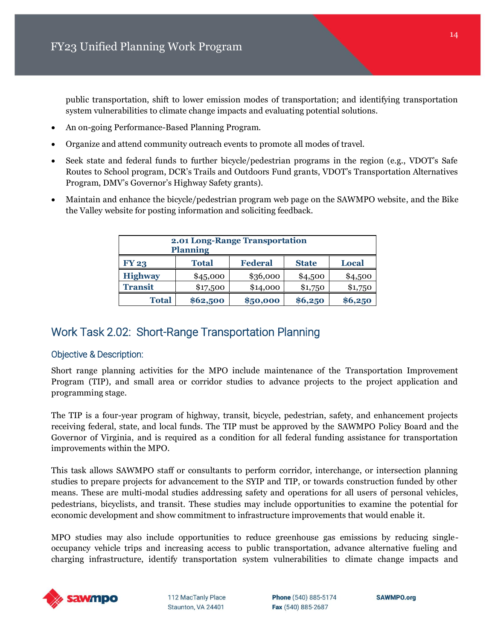public transportation, shift to lower emission modes of transportation; and identifying transportation system vulnerabilities to climate change impacts and evaluating potential solutions.

- An on-going Performance-Based Planning Program.
- Organize and attend community outreach events to promote all modes of travel.
- Seek state and federal funds to further bicycle/pedestrian programs in the region (e.g., VDOT's Safe Routes to School program, DCR's Trails and Outdoors Fund grants, VDOT's Transportation Alternatives Program, DMV's Governor's Highway Safety grants).
- Maintain and enhance the bicycle/pedestrian program web page on the SAWMPO website, and the Bike the Valley website for posting information and soliciting feedback.

| 2.01 Long-Range Transportation<br><b>Planning</b> |              |                |              |              |  |  |  |  |
|---------------------------------------------------|--------------|----------------|--------------|--------------|--|--|--|--|
| <b>FY 23</b>                                      | <b>Total</b> | <b>Federal</b> | <b>State</b> | <b>Local</b> |  |  |  |  |
| <b>Highway</b>                                    | \$45,000     | \$36,000       | \$4,500      | \$4,500      |  |  |  |  |
| <b>Transit</b>                                    | \$17,500     | \$14,000       | \$1,750      | \$1,750      |  |  |  |  |
| <b>Total</b>                                      | \$62,500     | \$50,000       | \$6,250      | \$6,250      |  |  |  |  |

# Work Task 2.02: Short-Range Transportation Planning

#### Objective & Description:

Short range planning activities for the MPO include maintenance of the Transportation Improvement Program (TIP), and small area or corridor studies to advance projects to the project application and programming stage.

The TIP is a four-year program of highway, transit, bicycle, pedestrian, safety, and enhancement projects receiving federal, state, and local funds. The TIP must be approved by the SAWMPO Policy Board and the Governor of Virginia, and is required as a condition for all federal funding assistance for transportation improvements within the MPO.

This task allows SAWMPO staff or consultants to perform corridor, interchange, or intersection planning studies to prepare projects for advancement to the SYIP and TIP, or towards construction funded by other means. These are multi-modal studies addressing safety and operations for all users of personal vehicles, pedestrians, bicyclists, and transit. These studies may include opportunities to examine the potential for economic development and show commitment to infrastructure improvements that would enable it.

MPO studies may also include opportunities to reduce greenhouse gas emissions by reducing singleoccupancy vehicle trips and increasing access to public transportation, advance alternative fueling and charging infrastructure, identify transportation system vulnerabilities to climate change impacts and



112 MacTanly Place Staunton, VA 24401

Phone (540) 885-5174 Fax (540) 885-2687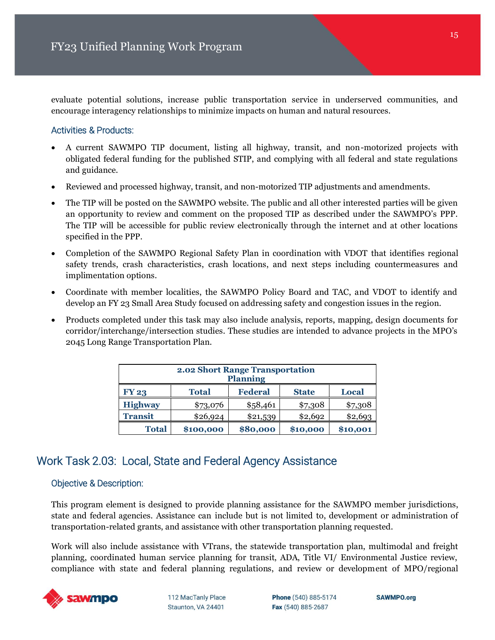evaluate potential solutions, increase public transportation service in underserved communities, and encourage interagency relationships to minimize impacts on human and natural resources.

#### Activities & Products:

- A current SAWMPO TIP document, listing all highway, transit, and non-motorized projects with obligated federal funding for the published STIP, and complying with all federal and state regulations and guidance.
- Reviewed and processed highway, transit, and non-motorized TIP adjustments and amendments.
- The TIP will be posted on the SAWMPO website. The public and all other interested parties will be given an opportunity to review and comment on the proposed TIP as described under the SAWMPO's PPP. The TIP will be accessible for public review electronically through the internet and at other locations specified in the PPP.
- Completion of the SAWMPO Regional Safety Plan in coordination with VDOT that identifies regional safety trends, crash characteristics, crash locations, and next steps including countermeasures and implimentation options.
- Coordinate with member localities, the SAWMPO Policy Board and TAC, and VDOT to identify and develop an FY 23 Small Area Study focused on addressing safety and congestion issues in the region.
- Products completed under this task may also include analysis, reports, mapping, design documents for corridor/interchange/intersection studies. These studies are intended to advance projects in the MPO's 2045 Long Range Transportation Plan.

| 2.02 Short Range Transportation<br><b>Planning</b>                      |           |          |          |          |  |  |  |  |  |
|-------------------------------------------------------------------------|-----------|----------|----------|----------|--|--|--|--|--|
| <b>Federal</b><br><b>FY 23</b><br><b>Total</b><br><b>State</b><br>Local |           |          |          |          |  |  |  |  |  |
| <b>Highway</b>                                                          | \$73,076  | \$58,461 | \$7,308  | \$7,308  |  |  |  |  |  |
| <b>Transit</b>                                                          | \$26,924  | \$21,539 | \$2,692  | \$2,693  |  |  |  |  |  |
| <b>Total</b>                                                            | \$100,000 | \$80,000 | \$10,000 | \$10,001 |  |  |  |  |  |

# Work Task 2.03: Local, State and Federal Agency Assistance

#### Objective & Description:

This program element is designed to provide planning assistance for the SAWMPO member jurisdictions, state and federal agencies. Assistance can include but is not limited to, development or administration of transportation-related grants, and assistance with other transportation planning requested.

Work will also include assistance with VTrans, the statewide transportation plan, multimodal and freight planning, coordinated human service planning for transit, ADA, Title VI/ Environmental Justice review, compliance with state and federal planning regulations, and review or development of MPO/regional



112 MacTanly Place Staunton, VA 24401

Phone (540) 885-5174 Fax (540) 885-2687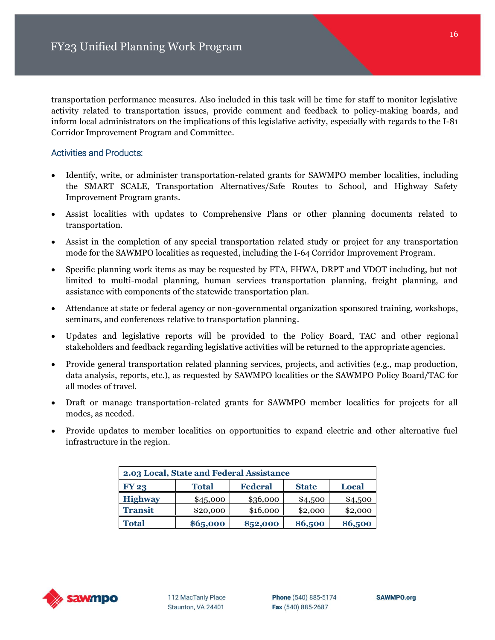transportation performance measures. Also included in this task will be time for staff to monitor legislative activity related to transportation issues, provide comment and feedback to policy-making boards, and inform local administrators on the implications of this legislative activity, especially with regards to the I-81 Corridor Improvement Program and Committee.

#### Activities and Products:

- Identify, write, or administer transportation-related grants for SAWMPO member localities, including the SMART SCALE, Transportation Alternatives/Safe Routes to School, and Highway Safety Improvement Program grants.
- Assist localities with updates to Comprehensive Plans or other planning documents related to transportation.
- Assist in the completion of any special transportation related study or project for any transportation mode for the SAWMPO localities as requested, including the I-64 Corridor Improvement Program.
- Specific planning work items as may be requested by FTA, FHWA, DRPT and VDOT including, but not limited to multi-modal planning, human services transportation planning, freight planning, and assistance with components of the statewide transportation plan.
- Attendance at state or federal agency or non-governmental organization sponsored training, workshops, seminars, and conferences relative to transportation planning.
- Updates and legislative reports will be provided to the Policy Board, TAC and other regional stakeholders and feedback regarding legislative activities will be returned to the appropriate agencies.
- Provide general transportation related planning services, projects, and activities (e.g., map production, data analysis, reports, etc.), as requested by SAWMPO localities or the SAWMPO Policy Board/TAC for all modes of travel.
- Draft or manage transportation-related grants for SAWMPO member localities for projects for all modes, as needed.
- Provide updates to member localities on opportunities to expand electric and other alternative fuel infrastructure in the region.

| 2.03 Local, State and Federal Assistance |                                                         |          |         |         |  |  |  |  |  |
|------------------------------------------|---------------------------------------------------------|----------|---------|---------|--|--|--|--|--|
| <b>FY 23</b>                             | Federal<br><b>Total</b><br><b>Local</b><br><b>State</b> |          |         |         |  |  |  |  |  |
| <b>Highway</b>                           | \$45,000                                                | \$36,000 | \$4,500 | \$4,500 |  |  |  |  |  |
| <b>Transit</b>                           | \$20,000                                                | \$16,000 | \$2,000 | \$2,000 |  |  |  |  |  |
| <b>Total</b>                             | \$65,000                                                | \$52,000 | \$6,500 | \$6,500 |  |  |  |  |  |

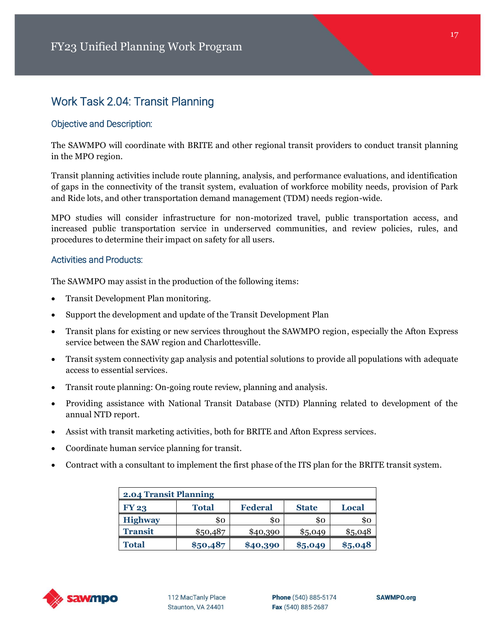# Work Task 2.04: Transit Planning

#### Objective and Description:

The SAWMPO will coordinate with BRITE and other regional transit providers to conduct transit planning in the MPO region.

Transit planning activities include route planning, analysis, and performance evaluations, and identification of gaps in the connectivity of the transit system, evaluation of workforce mobility needs, provision of Park and Ride lots, and other transportation demand management (TDM) needs region-wide.

MPO studies will consider infrastructure for non-motorized travel, public transportation access, and increased public transportation service in underserved communities, and review policies, rules, and procedures to determine their impact on safety for all users.

#### Activities and Products:

The SAWMPO may assist in the production of the following items:

- Transit Development Plan monitoring.
- Support the development and update of the Transit Development Plan
- Transit plans for existing or new services throughout the SAWMPO region, especially the Afton Express service between the SAW region and Charlottesville.
- Transit system connectivity gap analysis and potential solutions to provide all populations with adequate access to essential services.
- Transit route planning: On-going route review, planning and analysis.
- Providing assistance with National Transit Database (NTD) Planning related to development of the annual NTD report.
- Assist with transit marketing activities, both for BRITE and Afton Express services.
- Coordinate human service planning for transit.
- Contract with a consultant to implement the first phase of the ITS plan for the BRITE transit system.

| <b>2.04 Transit Planning</b> |              |                |              |         |  |  |  |  |  |
|------------------------------|--------------|----------------|--------------|---------|--|--|--|--|--|
| <b>FY 23</b>                 | <b>Total</b> | <b>Federal</b> | <b>State</b> | Local   |  |  |  |  |  |
| <b>Highway</b>               | \$0          | \$0            | \$0          | 80      |  |  |  |  |  |
| <b>Transit</b>               | \$50,487     | \$40,390       | \$5,049      | \$5,048 |  |  |  |  |  |
| <b>Total</b>                 | \$50,487     | \$40,390       | \$5,049      | \$5,048 |  |  |  |  |  |

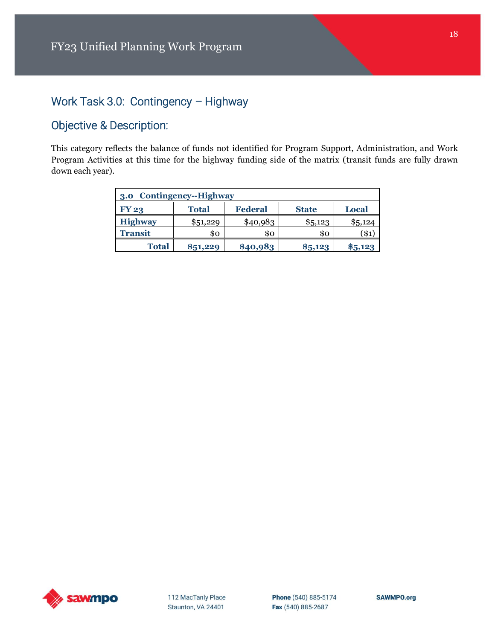# <span id="page-18-0"></span>Work Task 3.0: Contingency – Highway

## Objective & Description:

This category reflects the balance of funds not identified for Program Support, Administration, and Work Program Activities at this time for the highway funding side of the matrix (transit funds are fully drawn down each year).

<span id="page-18-1"></span>

| 3.0 Contingency--Highway                                         |          |          |         |               |  |  |  |  |  |
|------------------------------------------------------------------|----------|----------|---------|---------------|--|--|--|--|--|
| Federal<br><b>Total</b><br><b>FY 23</b><br><b>State</b><br>Local |          |          |         |               |  |  |  |  |  |
| <b>Highway</b>                                                   | \$51,229 |          | \$5,123 | \$5,124       |  |  |  |  |  |
| <b>Transit</b>                                                   | \$0      | \$0      | \$0     | $\mathbf{S}1$ |  |  |  |  |  |
| <b>Total</b>                                                     | \$51,229 | \$40,983 | \$5,123 | \$5,123       |  |  |  |  |  |

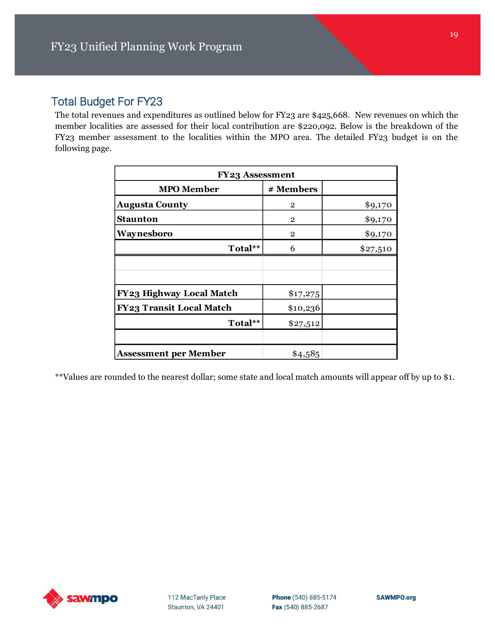# Total Budget For FY23

The total revenues and expenditures as outlined below for FY23 are \$425,668. New revenues on which the member localities are assessed for their local contribution are \$220,092. Below is the breakdown of the FY23 member assessment to the localities within the MPO area. The detailed FY23 budget is on the following page.

| <b>FY23 Assessment</b>          |                |          |  |  |  |  |  |  |  |
|---------------------------------|----------------|----------|--|--|--|--|--|--|--|
| <b>MPO</b> Member               | # Members      |          |  |  |  |  |  |  |  |
| <b>Augusta County</b>           | $\overline{2}$ | \$9,170  |  |  |  |  |  |  |  |
| <b>Staunton</b>                 | $\overline{2}$ | \$9,170  |  |  |  |  |  |  |  |
| Waynesboro                      | $\overline{2}$ | \$9,170  |  |  |  |  |  |  |  |
| Total**                         | 6              | \$27,510 |  |  |  |  |  |  |  |
|                                 |                |          |  |  |  |  |  |  |  |
|                                 |                |          |  |  |  |  |  |  |  |
| <b>FY23 Highway Local Match</b> | \$17,275       |          |  |  |  |  |  |  |  |
| <b>FY23 Transit Local Match</b> | \$10,236       |          |  |  |  |  |  |  |  |
| Total**                         | \$27,512       |          |  |  |  |  |  |  |  |
|                                 |                |          |  |  |  |  |  |  |  |
| <b>Assessment per Member</b>    | \$4,585        |          |  |  |  |  |  |  |  |

\*\*Values are rounded to the nearest dollar; some state and local match amounts will appear off by up to \$1.



112 MacTanly Place Staunton, VA 24401

Phone (540) 885-5174 Fax (540) 885-2687